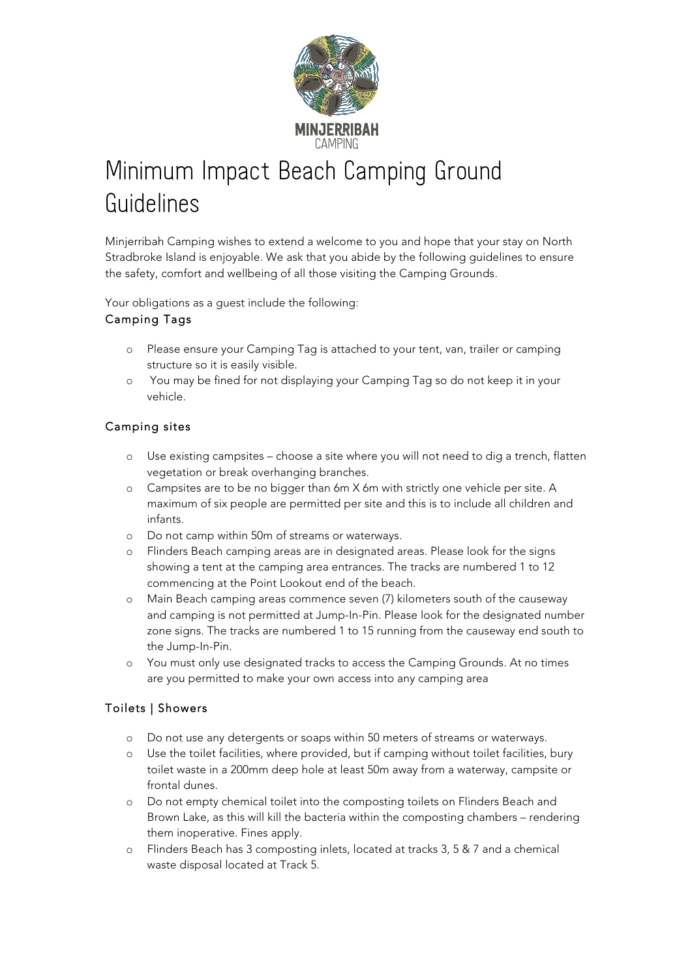

# Minimum Impact Beach Camping Ground Guidelines

Minjerribah Camping wishes to extend a welcome to you and hope that your stay on North Stradbroke Island is enjoyable. We ask that you abide by the following guidelines to ensure the safety, comfort and wellbeing of all those visiting the Camping Grounds.

Your obligations as a guest include the following:

# Camping Tags

- o Please ensure your Camping Tag is attached to your tent, van, trailer or camping structure so it is easily visible.
- o You may be fined for not displaying your Camping Tag so do not keep it in your vehicle.

# Camping sites

- o Use existing campsites choose a site where you will not need to dig a trench, flatten vegetation or break overhanging branches.
- o Campsites are to be no bigger than 6m X 6m with strictly one vehicle per site. A maximum of six people are permitted per site and this is to include all children and infants.
- o Do not camp within 50m of streams or waterways.
- o Flinders Beach camping areas are in designated areas. Please look for the signs showing a tent at the camping area entrances. The tracks are numbered 1 to 12 commencing at the Point Lookout end of the beach.
- o Main Beach camping areas commence seven (7) kilometers south of the causeway and camping is not permitted at Jump-In-Pin. Please look for the designated number zone signs. The tracks are numbered 1 to 15 running from the causeway end south to the Jump-In-Pin.
- o You must only use designated tracks to access the Camping Grounds. At no times are you permitted to make your own access into any camping area

# Toilets | Showers

- o Do not use any detergents or soaps within 50 meters of streams or waterways.
- o Use the toilet facilities, where provided, but if camping without toilet facilities, bury toilet waste in a 200mm deep hole at least 50m away from a waterway, campsite or frontal dunes.
- o Do not empty chemical toilet into the composting toilets on Flinders Beach and Brown Lake, as this will kill the bacteria within the composting chambers – rendering them inoperative. Fines apply.
- o Flinders Beach has 3 composting inlets, located at tracks 3, 5 & 7 and a chemical waste disposal located at Track 5.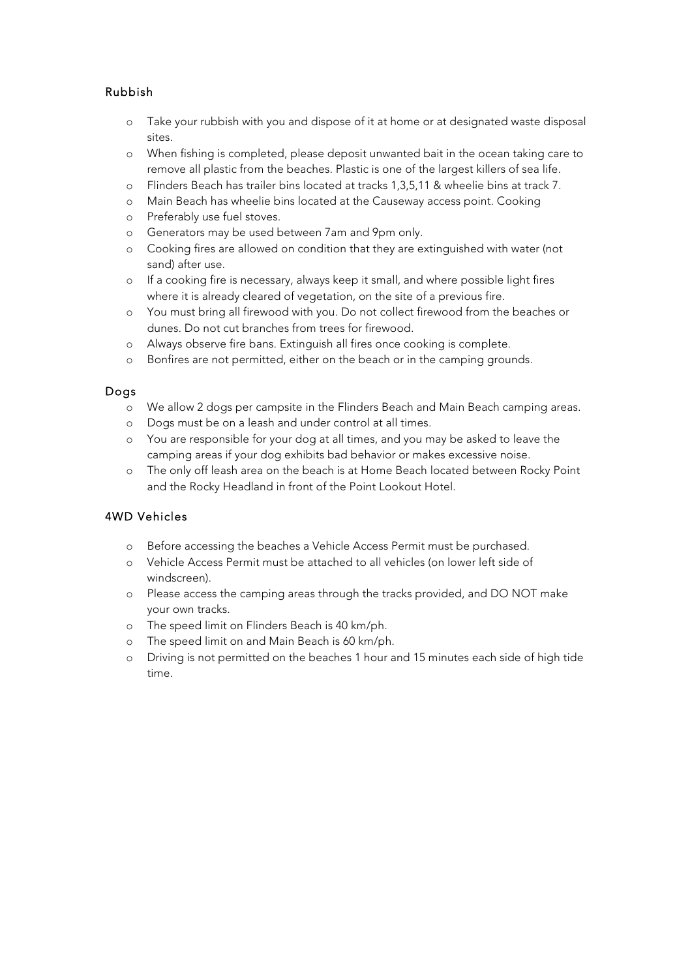# Rubbish

- o Take your rubbish with you and dispose of it at home or at designated waste disposal sites.
- o When fishing is completed, please deposit unwanted bait in the ocean taking care to remove all plastic from the beaches. Plastic is one of the largest killers of sea life.
- o Flinders Beach has trailer bins located at tracks 1,3,5,11 & wheelie bins at track 7.
- o Main Beach has wheelie bins located at the Causeway access point. Cooking
- o Preferably use fuel stoves.
- o Generators may be used between 7am and 9pm only.
- o Cooking fires are allowed on condition that they are extinguished with water (not sand) after use.
- o If a cooking fire is necessary, always keep it small, and where possible light fires where it is already cleared of vegetation, on the site of a previous fire.
- o You must bring all firewood with you. Do not collect firewood from the beaches or dunes. Do not cut branches from trees for firewood.
- o Always observe fire bans. Extinguish all fires once cooking is complete.
- o Bonfires are not permitted, either on the beach or in the camping grounds.

# Dogs

- o We allow 2 dogs per campsite in the Flinders Beach and Main Beach camping areas.
- o Dogs must be on a leash and under control at all times.
- o You are responsible for your dog at all times, and you may be asked to leave the camping areas if your dog exhibits bad behavior or makes excessive noise.
- o The only off leash area on the beach is at Home Beach located between Rocky Point and the Rocky Headland in front of the Point Lookout Hotel.

# 4WD Vehicles

- o Before accessing the beaches a Vehicle Access Permit must be purchased.
- o Vehicle Access Permit must be attached to all vehicles (on lower left side of windscreen).
- o Please access the camping areas through the tracks provided, and DO NOT make your own tracks.
- o The speed limit on Flinders Beach is 40 km/ph.
- o The speed limit on and Main Beach is 60 km/ph.
- o Driving is not permitted on the beaches 1 hour and 15 minutes each side of high tide time.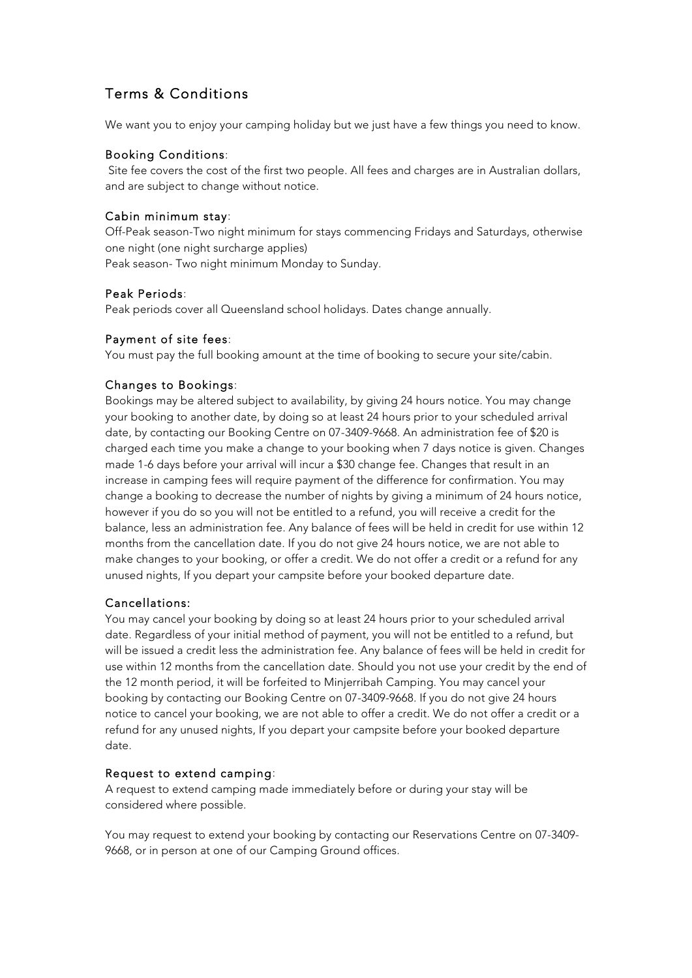# Terms & Conditions

We want you to enjoy your camping holiday but we just have a few things you need to know.

#### Booking Conditions:

Site fee covers the cost of the first two people. All fees and charges are in Australian dollars, and are subject to change without notice.

#### Cabin minimum stay:

Off-Peak season-Two night minimum for stays commencing Fridays and Saturdays, otherwise one night (one night surcharge applies) Peak season- Two night minimum Monday to Sunday.

#### Peak Periods:

Peak periods cover all Queensland school holidays. Dates change annually.

#### Payment of site fees:

You must pay the full booking amount at the time of booking to secure your site/cabin.

# Changes to Bookings:

Bookings may be altered subject to availability, by giving 24 hours notice. You may change your booking to another date, by doing so at least 24 hours prior to your scheduled arrival date, by contacting our Booking Centre on 07-3409-9668. An administration fee of \$20 is charged each time you make a change to your booking when 7 days notice is given. Changes made 1-6 days before your arrival will incur a \$30 change fee. Changes that result in an increase in camping fees will require payment of the difference for confirmation. You may change a booking to decrease the number of nights by giving a minimum of 24 hours notice, however if you do so you will not be entitled to a refund, you will receive a credit for the balance, less an administration fee. Any balance of fees will be held in credit for use within 12 months from the cancellation date. If you do not give 24 hours notice, we are not able to make changes to your booking, or offer a credit. We do not offer a credit or a refund for any unused nights, If you depart your campsite before your booked departure date.

#### Cancellations:

You may cancel your booking by doing so at least 24 hours prior to your scheduled arrival date. Regardless of your initial method of payment, you will not be entitled to a refund, but will be issued a credit less the administration fee. Any balance of fees will be held in credit for use within 12 months from the cancellation date. Should you not use your credit by the end of the 12 month period, it will be forfeited to Minjerribah Camping. You may cancel your booking by contacting our Booking Centre on 07-3409-9668. If you do not give 24 hours notice to cancel your booking, we are not able to offer a credit. We do not offer a credit or a refund for any unused nights, If you depart your campsite before your booked departure date.

#### Request to extend camping:

A request to extend camping made immediately before or during your stay will be considered where possible.

You may request to extend your booking by contacting our Reservations Centre on 07-3409- 9668, or in person at one of our Camping Ground offices.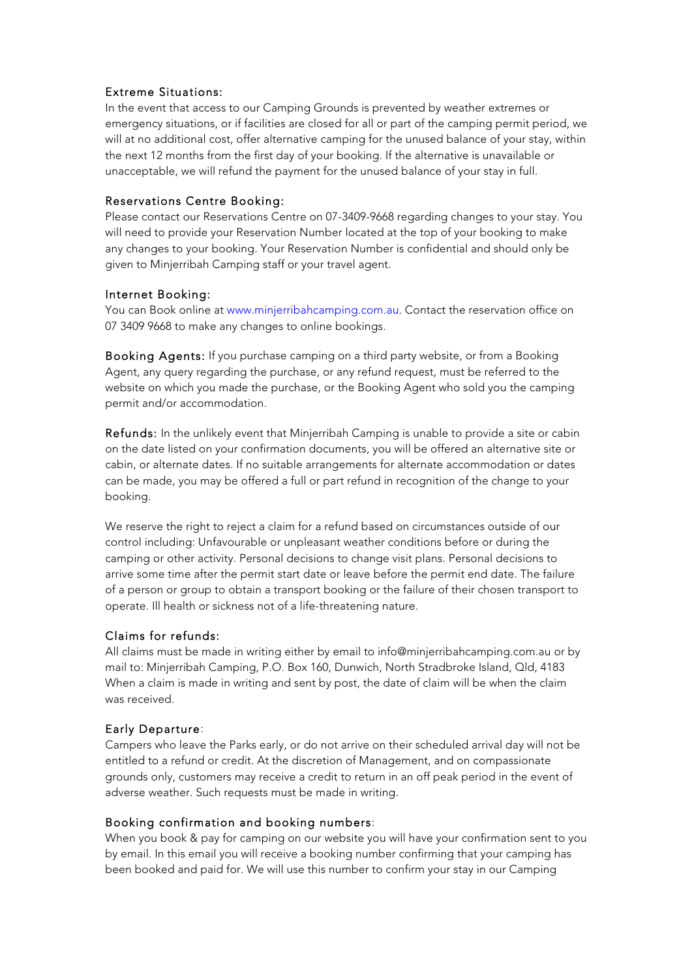#### Extreme Situations:

In the event that access to our Camping Grounds is prevented by weather extremes or emergency situations, or if facilities are closed for all or part of the camping permit period, we will at no additional cost, offer alternative camping for the unused balance of your stay, within the next 12 months from the first day of your booking. If the alternative is unavailable or unacceptable, we will refund the payment for the unused balance of your stay in full.

#### Reservations Centre Booking:

Please contact our Reservations Centre on 07-3409-9668 regarding changes to your stay. You will need to provide your Reservation Number located at the top of your booking to make any changes to your booking. Your Reservation Number is confidential and should only be given to Minjerribah Camping staff or your travel agent.

# Internet Booking:

You can Book online at www.minjerribahcamping.com.au. Contact the reservation office on 07 3409 9668 to make any changes to online bookings.

Booking Agents: If you purchase camping on a third party website, or from a Booking Agent, any query regarding the purchase, or any refund request, must be referred to the website on which you made the purchase, or the Booking Agent who sold you the camping permit and/or accommodation.

Refunds: In the unlikely event that Minjerribah Camping is unable to provide a site or cabin on the date listed on your confirmation documents, you will be offered an alternative site or cabin, or alternate dates. If no suitable arrangements for alternate accommodation or dates can be made, you may be offered a full or part refund in recognition of the change to your booking.

We reserve the right to reject a claim for a refund based on circumstances outside of our control including: Unfavourable or unpleasant weather conditions before or during the camping or other activity. Personal decisions to change visit plans. Personal decisions to arrive some time after the permit start date or leave before the permit end date. The failure of a person or group to obtain a transport booking or the failure of their chosen transport to operate. Ill health or sickness not of a life-threatening nature.

# Claims for refunds:

All claims must be made in writing either by email to info@minjerribahcamping.com.au or by mail to: Minjerribah Camping, P.O. Box 160, Dunwich, North Stradbroke Island, Qld, 4183 When a claim is made in writing and sent by post, the date of claim will be when the claim was received.

# Early Departure:

Campers who leave the Parks early, or do not arrive on their scheduled arrival day will not be entitled to a refund or credit. At the discretion of Management, and on compassionate grounds only, customers may receive a credit to return in an off peak period in the event of adverse weather. Such requests must be made in writing.

# Booking confirmation and booking numbers:

When you book & pay for camping on our website you will have your confirmation sent to you by email. In this email you will receive a booking number confirming that your camping has been booked and paid for. We will use this number to confirm your stay in our Camping